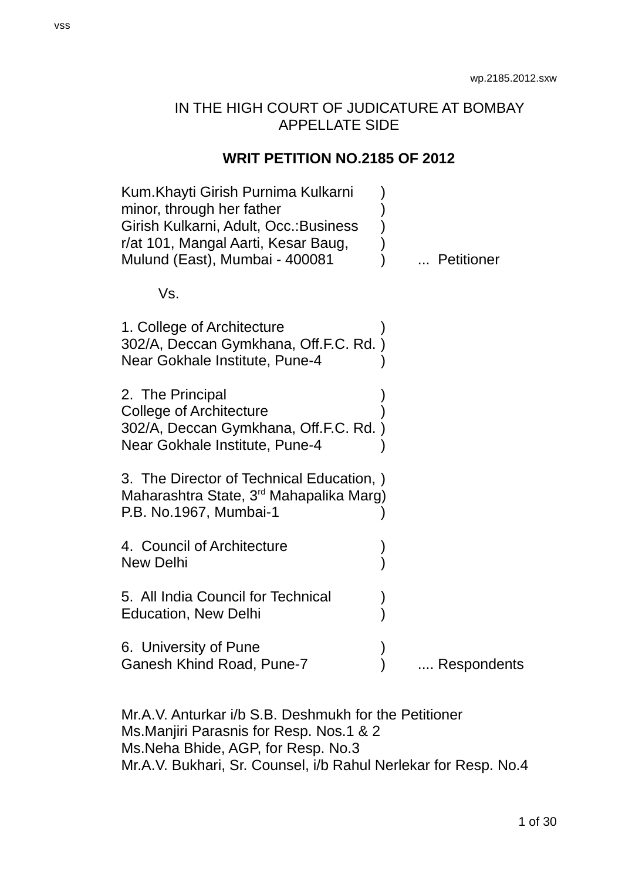# IN THE HIGH COURT OF JUDICATURE AT BOMBAY APPELLATE SIDE

### **WRIT PETITION NO.2185 OF 2012**

| Kum. Khayti Girish Purnima Kulkarni<br>minor, through her father<br>Girish Kulkarni, Adult, Occ.: Business<br>r/at 101, Mangal Aarti, Kesar Baug,<br>Mulund (East), Mumbai - 400081 | Petitioner  |
|-------------------------------------------------------------------------------------------------------------------------------------------------------------------------------------|-------------|
| Vs.                                                                                                                                                                                 |             |
| 1. College of Architecture<br>302/A, Deccan Gymkhana, Off.F.C. Rd.)<br>Near Gokhale Institute, Pune-4                                                                               |             |
| 2. The Principal<br>College of Architecture<br>302/A, Deccan Gymkhana, Off.F.C. Rd.)<br>Near Gokhale Institute, Pune-4                                                              |             |
| 3. The Director of Technical Education, )<br>Maharashtra State, 3 <sup>rd</sup> Mahapalika Marg)<br>P.B. No.1967, Mumbai-1                                                          |             |
| 4. Council of Architecture<br><b>New Delhi</b>                                                                                                                                      |             |
| 5. All India Council for Technical<br>Education, New Delhi                                                                                                                          |             |
| 6. University of Pune<br>Ganesh Khind Road, Pune-7                                                                                                                                  | Respondents |
|                                                                                                                                                                                     |             |

Mr.A.V. Anturkar i/b S.B. Deshmukh for the Petitioner Ms.Manjiri Parasnis for Resp. Nos.1 & 2 Ms.Neha Bhide, AGP, for Resp. No.3 Mr.A.V. Bukhari, Sr. Counsel, i/b Rahul Nerlekar for Resp. No.4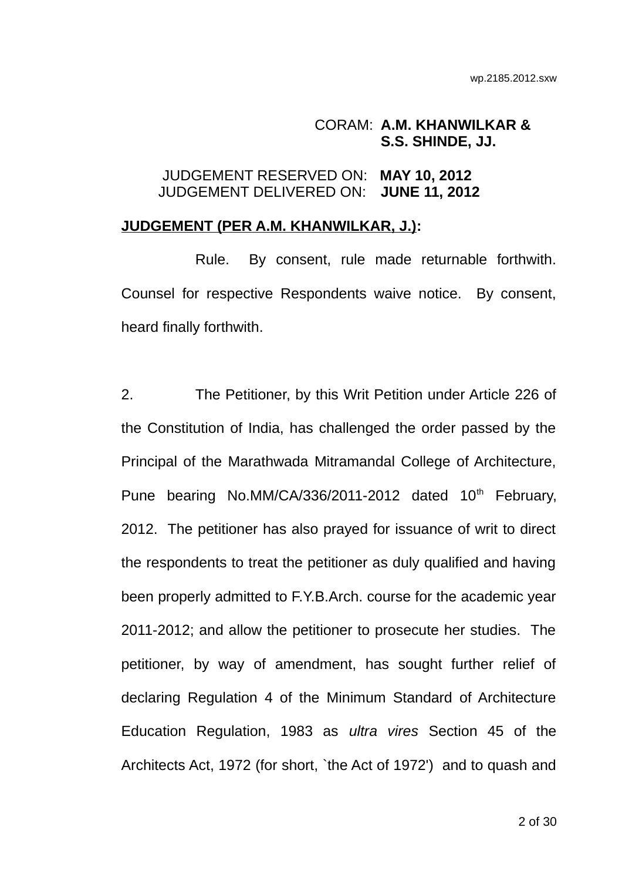### CORAM: **A.M. KHANWILKAR & S.S. SHINDE, JJ.**

# JUDGEMENT RESERVED ON: **MAY 10, 2012** JUDGEMENT DELIVERED ON: **JUNE 11, 2012**

### **JUDGEMENT (PER A.M. KHANWILKAR, J.):**

Rule. By consent, rule made returnable forthwith. Counsel for respective Respondents waive notice. By consent, heard finally forthwith.

2. The Petitioner, by this Writ Petition under Article 226 of the Constitution of India, has challenged the order passed by the Principal of the Marathwada Mitramandal College of Architecture, Pune bearing No.MM/CA/336/2011-2012 dated  $10<sup>th</sup>$  February, 2012. The petitioner has also prayed for issuance of writ to direct the respondents to treat the petitioner as duly qualified and having been properly admitted to F.Y.B.Arch. course for the academic year 2011-2012; and allow the petitioner to prosecute her studies. The petitioner, by way of amendment, has sought further relief of declaring Regulation 4 of the Minimum Standard of Architecture Education Regulation, 1983 as *ultra vires* Section 45 of the Architects Act, 1972 (for short, `the Act of 1972') and to quash and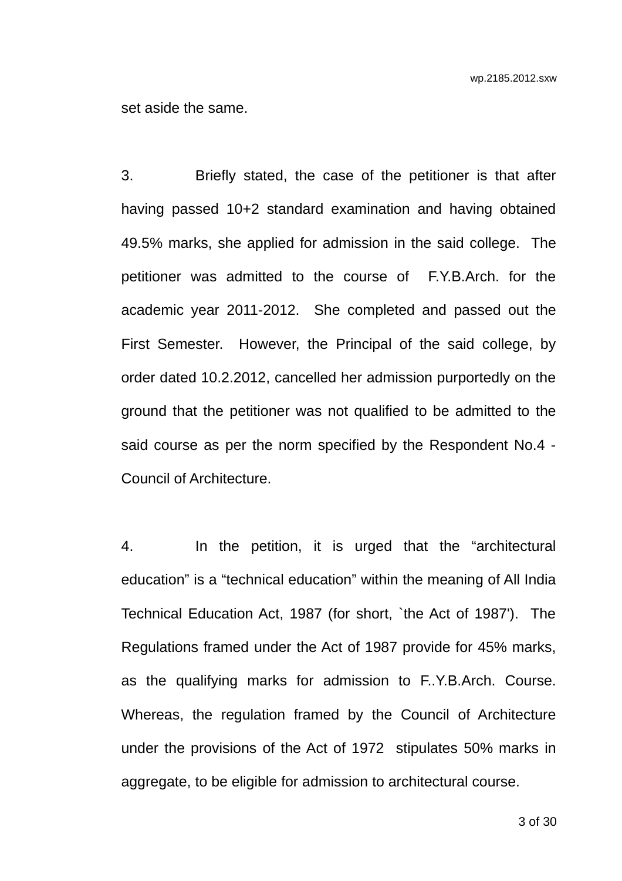set aside the same.

3. Briefly stated, the case of the petitioner is that after having passed 10+2 standard examination and having obtained 49.5% marks, she applied for admission in the said college. The petitioner was admitted to the course of F.Y.B.Arch. for the academic year 2011-2012. She completed and passed out the First Semester. However, the Principal of the said college, by order dated 10.2.2012, cancelled her admission purportedly on the ground that the petitioner was not qualified to be admitted to the said course as per the norm specified by the Respondent No.4 - Council of Architecture.

4. In the petition, it is urged that the "architectural education" is a "technical education" within the meaning of All India Technical Education Act, 1987 (for short, `the Act of 1987'). The Regulations framed under the Act of 1987 provide for 45% marks, as the qualifying marks for admission to F..Y.B.Arch. Course. Whereas, the regulation framed by the Council of Architecture under the provisions of the Act of 1972 stipulates 50% marks in aggregate, to be eligible for admission to architectural course.

3 of 30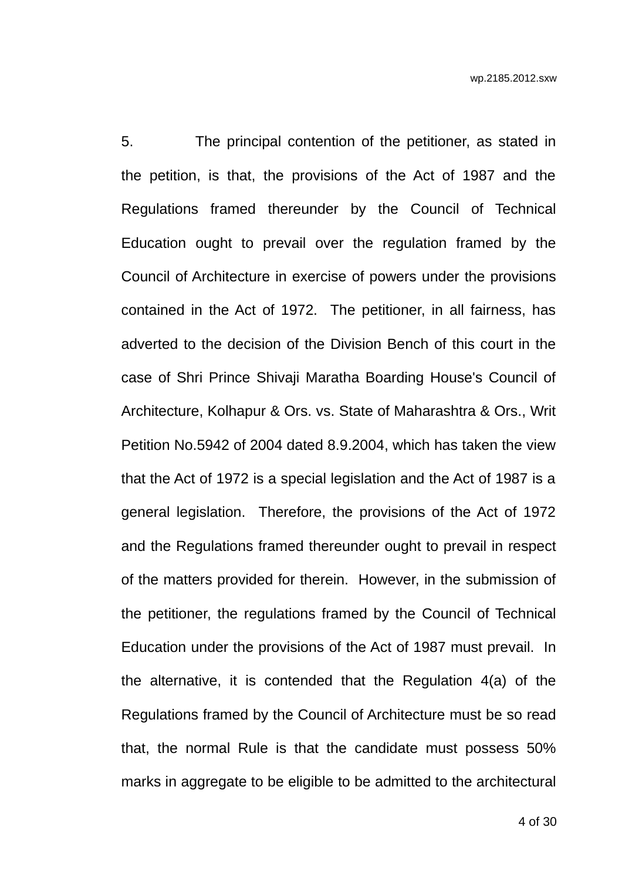5. The principal contention of the petitioner, as stated in the petition, is that, the provisions of the Act of 1987 and the Regulations framed thereunder by the Council of Technical Education ought to prevail over the regulation framed by the Council of Architecture in exercise of powers under the provisions contained in the Act of 1972. The petitioner, in all fairness, has adverted to the decision of the Division Bench of this court in the case of Shri Prince Shivaji Maratha Boarding House's Council of Architecture, Kolhapur & Ors. vs. State of Maharashtra & Ors., Writ Petition No.5942 of 2004 dated 8.9.2004, which has taken the view that the Act of 1972 is a special legislation and the Act of 1987 is a general legislation. Therefore, the provisions of the Act of 1972 and the Regulations framed thereunder ought to prevail in respect of the matters provided for therein. However, in the submission of the petitioner, the regulations framed by the Council of Technical Education under the provisions of the Act of 1987 must prevail. In the alternative, it is contended that the Regulation 4(a) of the Regulations framed by the Council of Architecture must be so read that, the normal Rule is that the candidate must possess 50% marks in aggregate to be eligible to be admitted to the architectural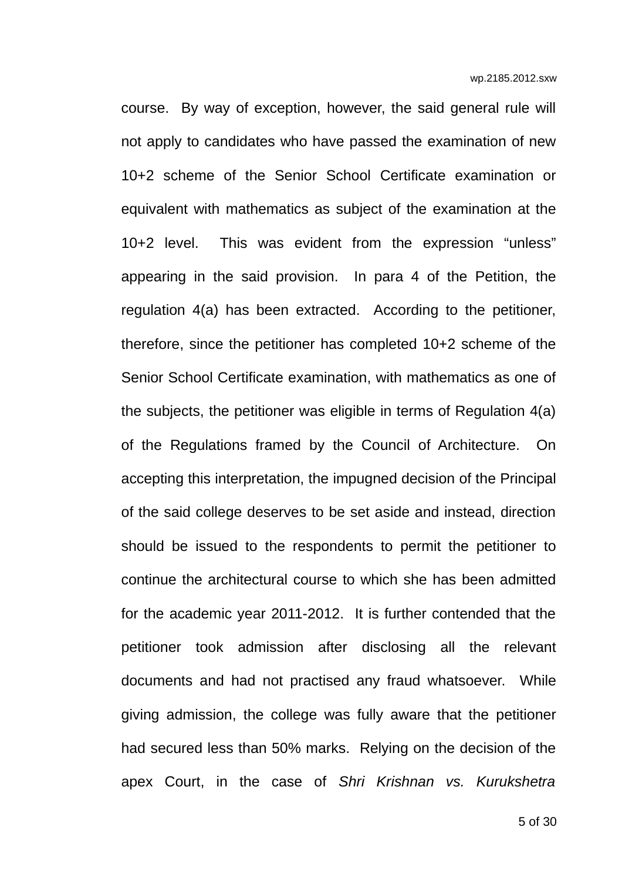course. By way of exception, however, the said general rule will not apply to candidates who have passed the examination of new 10+2 scheme of the Senior School Certificate examination or equivalent with mathematics as subject of the examination at the 10+2 level. This was evident from the expression "unless" appearing in the said provision. In para 4 of the Petition, the regulation 4(a) has been extracted. According to the petitioner, therefore, since the petitioner has completed 10+2 scheme of the Senior School Certificate examination, with mathematics as one of the subjects, the petitioner was eligible in terms of Regulation 4(a) of the Regulations framed by the Council of Architecture. On accepting this interpretation, the impugned decision of the Principal of the said college deserves to be set aside and instead, direction should be issued to the respondents to permit the petitioner to continue the architectural course to which she has been admitted for the academic year 2011-2012. It is further contended that the petitioner took admission after disclosing all the relevant documents and had not practised any fraud whatsoever. While giving admission, the college was fully aware that the petitioner had secured less than 50% marks. Relying on the decision of the apex Court, in the case of *Shri Krishnan vs. Kurukshetra*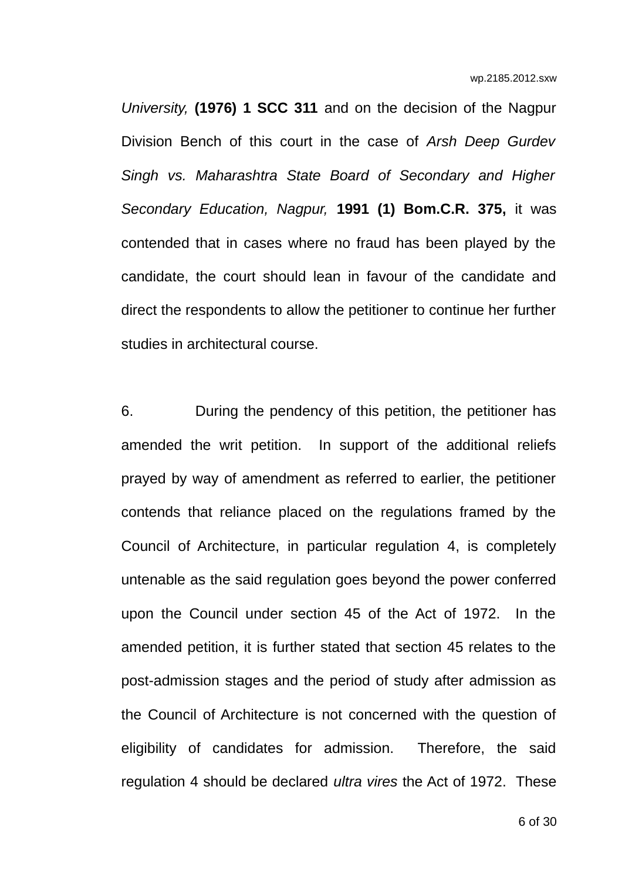*University,* **(1976) 1 SCC 311** and on the decision of the Nagpur Division Bench of this court in the case of *Arsh Deep Gurdev Singh vs. Maharashtra State Board of Secondary and Higher Secondary Education, Nagpur,* **1991 (1) Bom.C.R. 375,** it was contended that in cases where no fraud has been played by the candidate, the court should lean in favour of the candidate and direct the respondents to allow the petitioner to continue her further studies in architectural course.

6. During the pendency of this petition, the petitioner has amended the writ petition. In support of the additional reliefs prayed by way of amendment as referred to earlier, the petitioner contends that reliance placed on the regulations framed by the Council of Architecture, in particular regulation 4, is completely untenable as the said regulation goes beyond the power conferred upon the Council under section 45 of the Act of 1972. In the amended petition, it is further stated that section 45 relates to the post-admission stages and the period of study after admission as the Council of Architecture is not concerned with the question of eligibility of candidates for admission. Therefore, the said regulation 4 should be declared *ultra vires* the Act of 1972. These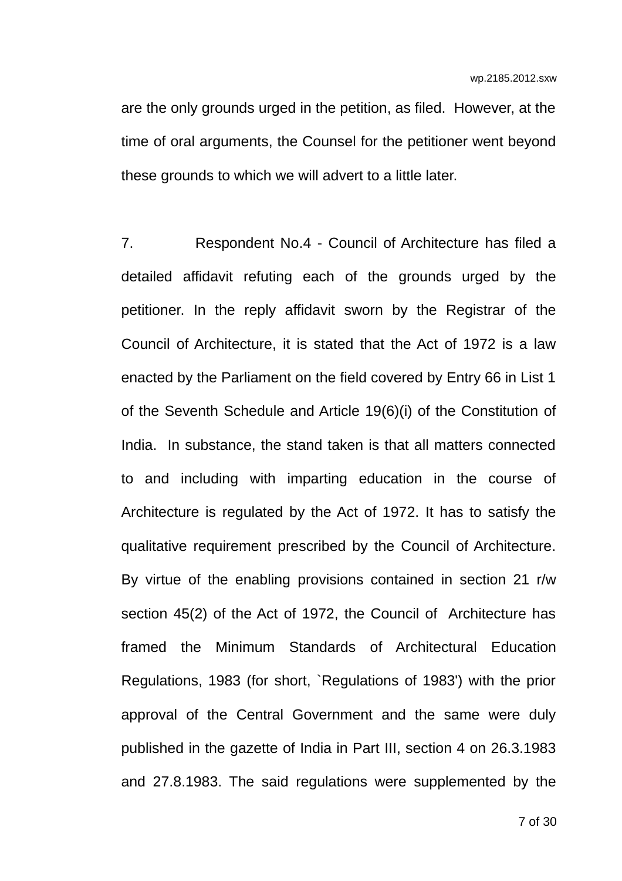are the only grounds urged in the petition, as filed. However, at the time of oral arguments, the Counsel for the petitioner went beyond these grounds to which we will advert to a little later.

7. Respondent No.4 - Council of Architecture has filed a detailed affidavit refuting each of the grounds urged by the petitioner. In the reply affidavit sworn by the Registrar of the Council of Architecture, it is stated that the Act of 1972 is a law enacted by the Parliament on the field covered by Entry 66 in List 1 of the Seventh Schedule and Article 19(6)(i) of the Constitution of India. In substance, the stand taken is that all matters connected to and including with imparting education in the course of Architecture is regulated by the Act of 1972. It has to satisfy the qualitative requirement prescribed by the Council of Architecture. By virtue of the enabling provisions contained in section 21 r/w section 45(2) of the Act of 1972, the Council of Architecture has framed the Minimum Standards of Architectural Education Regulations, 1983 (for short, `Regulations of 1983') with the prior approval of the Central Government and the same were duly published in the gazette of India in Part III, section 4 on 26.3.1983 and 27.8.1983. The said regulations were supplemented by the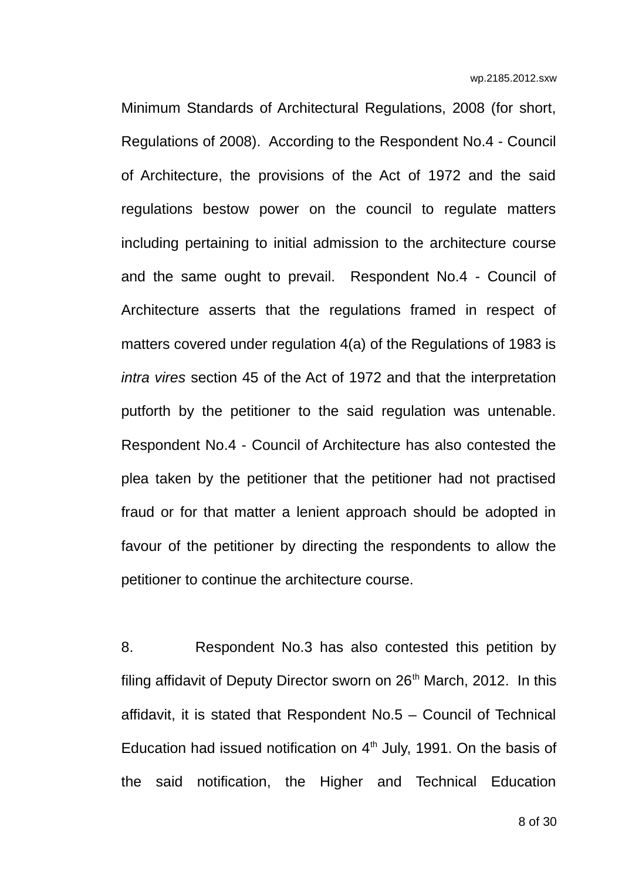Minimum Standards of Architectural Regulations, 2008 (for short, Regulations of 2008). According to the Respondent No.4 - Council of Architecture, the provisions of the Act of 1972 and the said regulations bestow power on the council to regulate matters including pertaining to initial admission to the architecture course and the same ought to prevail. Respondent No.4 - Council of Architecture asserts that the regulations framed in respect of matters covered under regulation 4(a) of the Regulations of 1983 is *intra vires* section 45 of the Act of 1972 and that the interpretation putforth by the petitioner to the said regulation was untenable. Respondent No.4 - Council of Architecture has also contested the plea taken by the petitioner that the petitioner had not practised fraud or for that matter a lenient approach should be adopted in favour of the petitioner by directing the respondents to allow the petitioner to continue the architecture course.

8. Respondent No.3 has also contested this petition by filing affidavit of Deputy Director sworn on 26<sup>th</sup> March, 2012. In this affidavit, it is stated that Respondent No.5 – Council of Technical Education had issued notification on  $4<sup>th</sup>$  July, 1991. On the basis of the said notification, the Higher and Technical Education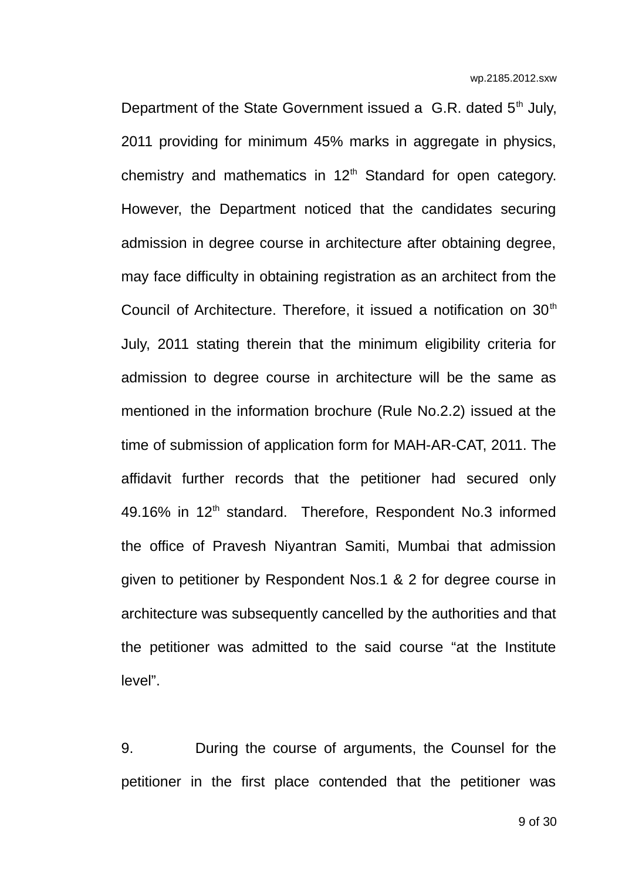Department of the State Government issued a G.R. dated  $5<sup>th</sup>$  July, 2011 providing for minimum 45% marks in aggregate in physics, chemistry and mathematics in  $12<sup>th</sup>$  Standard for open category. However, the Department noticed that the candidates securing admission in degree course in architecture after obtaining degree, may face difficulty in obtaining registration as an architect from the Council of Architecture. Therefore, it issued a notification on  $30<sup>th</sup>$ July, 2011 stating therein that the minimum eligibility criteria for admission to degree course in architecture will be the same as mentioned in the information brochure (Rule No.2.2) issued at the time of submission of application form for MAH-AR-CAT, 2011. The affidavit further records that the petitioner had secured only 49.16% in 12<sup>th</sup> standard. Therefore, Respondent No.3 informed the office of Pravesh Niyantran Samiti, Mumbai that admission given to petitioner by Respondent Nos.1 & 2 for degree course in architecture was subsequently cancelled by the authorities and that the petitioner was admitted to the said course "at the Institute level".

9. During the course of arguments, the Counsel for the petitioner in the first place contended that the petitioner was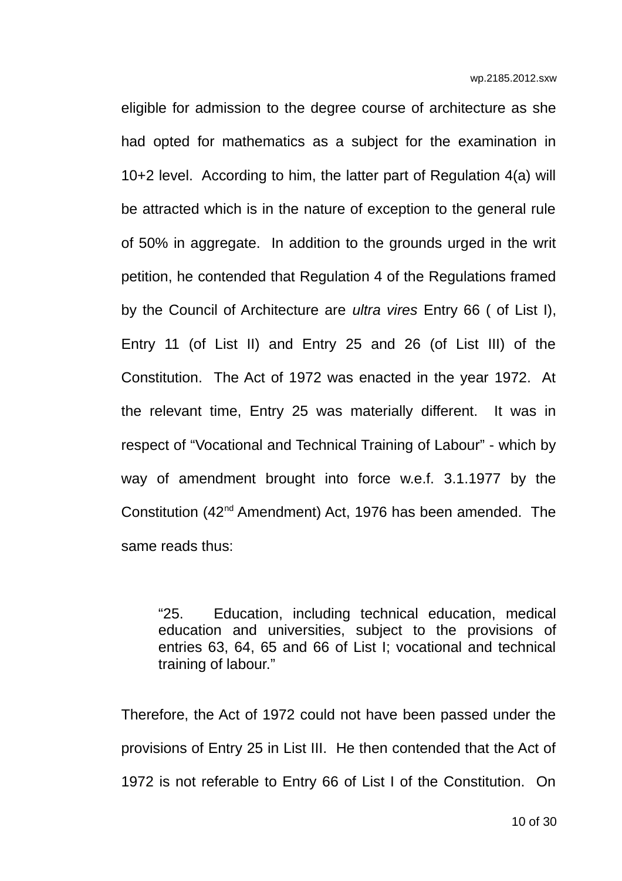eligible for admission to the degree course of architecture as she had opted for mathematics as a subject for the examination in 10+2 level. According to him, the latter part of Regulation 4(a) will be attracted which is in the nature of exception to the general rule of 50% in aggregate. In addition to the grounds urged in the writ petition, he contended that Regulation 4 of the Regulations framed by the Council of Architecture are *ultra vires* Entry 66 ( of List I), Entry 11 (of List II) and Entry 25 and 26 (of List III) of the Constitution. The Act of 1972 was enacted in the year 1972. At the relevant time, Entry 25 was materially different. It was in respect of "Vocational and Technical Training of Labour" - which by way of amendment brought into force w.e.f. 3.1.1977 by the Constitution (42nd Amendment) Act, 1976 has been amended. The same reads thus:

"25. Education, including technical education, medical education and universities, subject to the provisions of entries 63, 64, 65 and 66 of List I; vocational and technical training of labour."

Therefore, the Act of 1972 could not have been passed under the provisions of Entry 25 in List III. He then contended that the Act of 1972 is not referable to Entry 66 of List I of the Constitution. On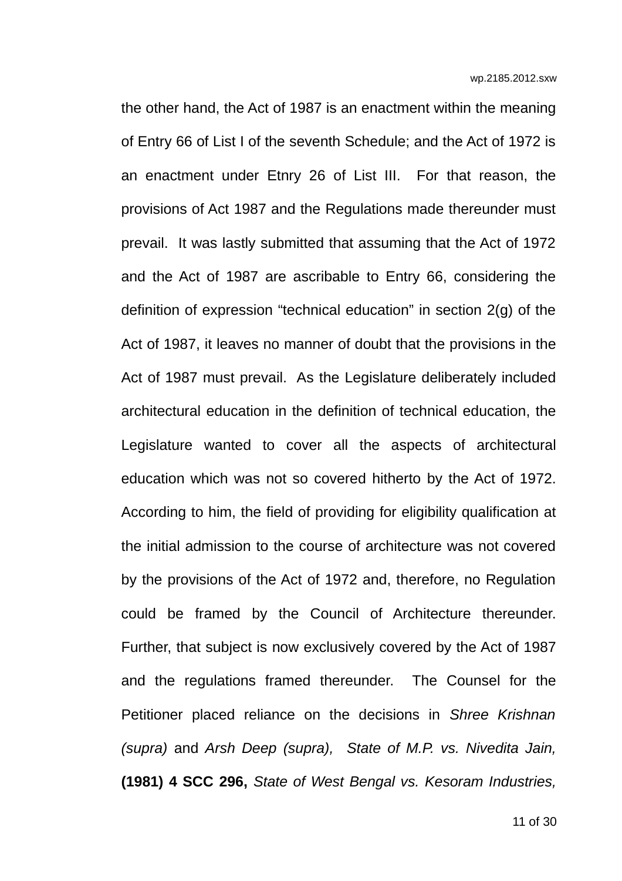the other hand, the Act of 1987 is an enactment within the meaning of Entry 66 of List I of the seventh Schedule; and the Act of 1972 is an enactment under Etnry 26 of List III. For that reason, the provisions of Act 1987 and the Regulations made thereunder must prevail. It was lastly submitted that assuming that the Act of 1972 and the Act of 1987 are ascribable to Entry 66, considering the definition of expression "technical education" in section 2(g) of the Act of 1987, it leaves no manner of doubt that the provisions in the Act of 1987 must prevail. As the Legislature deliberately included architectural education in the definition of technical education, the Legislature wanted to cover all the aspects of architectural education which was not so covered hitherto by the Act of 1972. According to him, the field of providing for eligibility qualification at the initial admission to the course of architecture was not covered by the provisions of the Act of 1972 and, therefore, no Regulation could be framed by the Council of Architecture thereunder. Further, that subject is now exclusively covered by the Act of 1987 and the regulations framed thereunder. The Counsel for the Petitioner placed reliance on the decisions in *Shree Krishnan (supra)* and *Arsh Deep (supra), State of M.P. vs. Nivedita Jain,* **(1981) 4 SCC 296,** *State of West Bengal vs. Kesoram Industries,*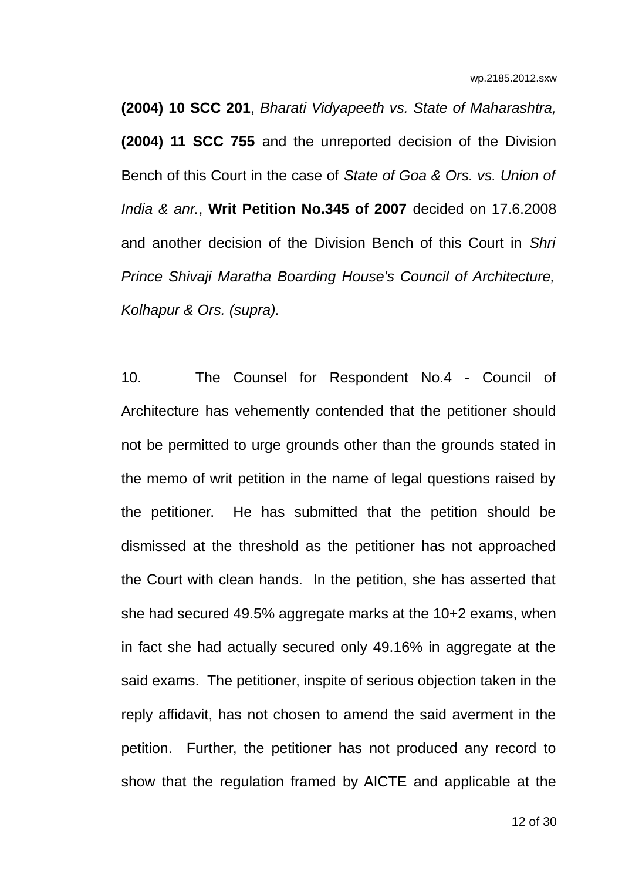**(2004) 10 SCC 201**, *Bharati Vidyapeeth vs. State of Maharashtra,* **(2004) 11 SCC 755** and the unreported decision of the Division Bench of this Court in the case of *State of Goa & Ors. vs. Union of India & anr.*, **Writ Petition No.345 of 2007** decided on 17.6.2008 and another decision of the Division Bench of this Court in *Shri Prince Shivaji Maratha Boarding House's Council of Architecture, Kolhapur & Ors. (supra).*

10. The Counsel for Respondent No.4 - Council of Architecture has vehemently contended that the petitioner should not be permitted to urge grounds other than the grounds stated in the memo of writ petition in the name of legal questions raised by the petitioner. He has submitted that the petition should be dismissed at the threshold as the petitioner has not approached the Court with clean hands. In the petition, she has asserted that she had secured 49.5% aggregate marks at the 10+2 exams, when in fact she had actually secured only 49.16% in aggregate at the said exams. The petitioner, inspite of serious objection taken in the reply affidavit, has not chosen to amend the said averment in the petition. Further, the petitioner has not produced any record to show that the regulation framed by AICTE and applicable at the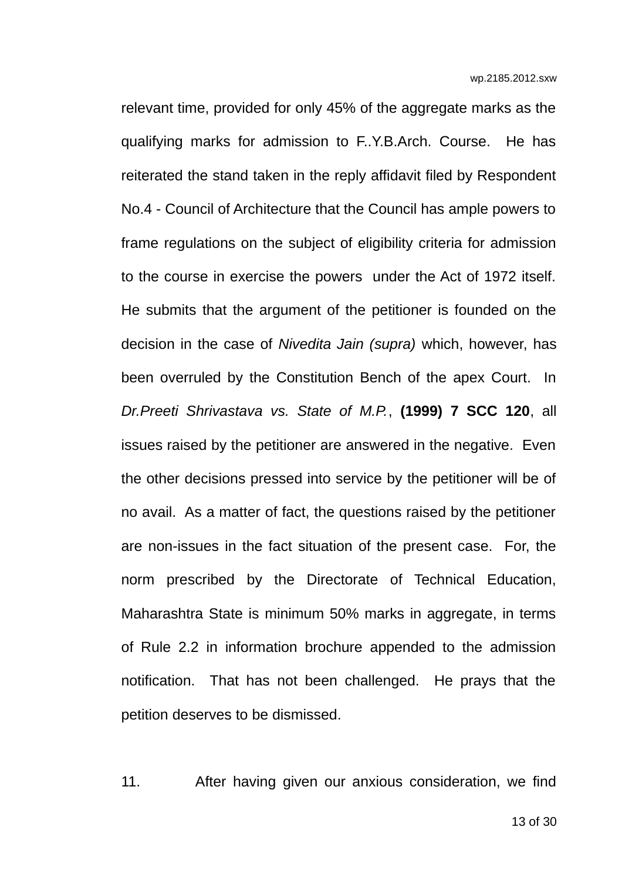relevant time, provided for only 45% of the aggregate marks as the qualifying marks for admission to F..Y.B.Arch. Course. He has reiterated the stand taken in the reply affidavit filed by Respondent No.4 - Council of Architecture that the Council has ample powers to frame regulations on the subject of eligibility criteria for admission to the course in exercise the powers under the Act of 1972 itself. He submits that the argument of the petitioner is founded on the decision in the case of *Nivedita Jain (supra)* which, however, has been overruled by the Constitution Bench of the apex Court. In *Dr.Preeti Shrivastava vs. State of M.P.*, **(1999) 7 SCC 120**, all issues raised by the petitioner are answered in the negative. Even the other decisions pressed into service by the petitioner will be of no avail. As a matter of fact, the questions raised by the petitioner are non-issues in the fact situation of the present case. For, the norm prescribed by the Directorate of Technical Education, Maharashtra State is minimum 50% marks in aggregate, in terms of Rule 2.2 in information brochure appended to the admission notification. That has not been challenged. He prays that the petition deserves to be dismissed.

11. After having given our anxious consideration, we find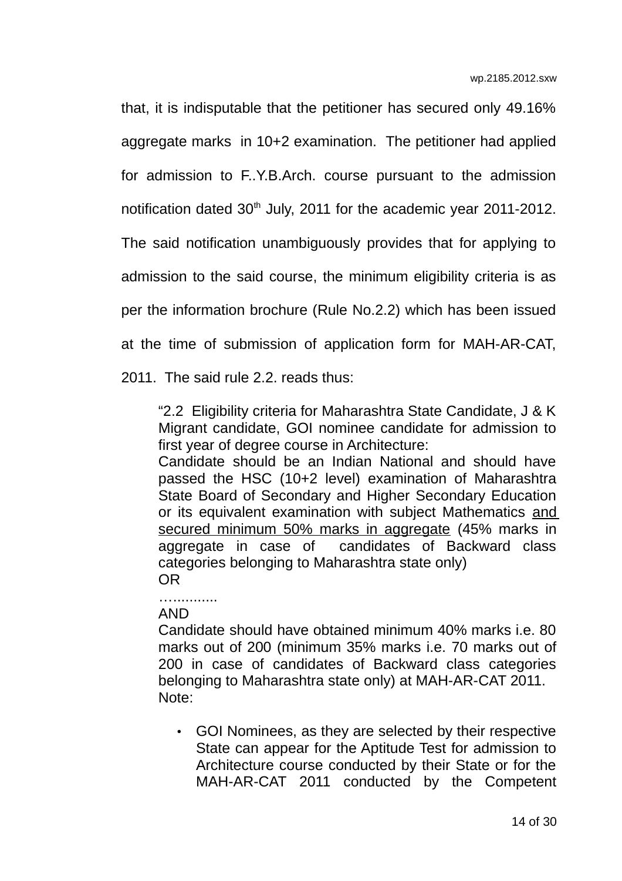that, it is indisputable that the petitioner has secured only 49.16% aggregate marks in 10+2 examination. The petitioner had applied for admission to F..Y.B.Arch. course pursuant to the admission notification dated  $30<sup>th</sup>$  July, 2011 for the academic year 2011-2012. The said notification unambiguously provides that for applying to admission to the said course, the minimum eligibility criteria is as per the information brochure (Rule No.2.2) which has been issued at the time of submission of application form for MAH-AR-CAT,

2011. The said rule 2.2. reads thus:

"2.2 Eligibility criteria for Maharashtra State Candidate, J & K Migrant candidate, GOI nominee candidate for admission to first year of degree course in Architecture:

Candidate should be an Indian National and should have passed the HSC (10+2 level) examination of Maharashtra State Board of Secondary and Higher Secondary Education or its equivalent examination with subject Mathematics and secured minimum 50% marks in aggregate (45% marks in aggregate in case of candidates of Backward class categories belonging to Maharashtra state only) OR

…...........

AND

Candidate should have obtained minimum 40% marks i.e. 80 marks out of 200 (minimum 35% marks i.e. 70 marks out of 200 in case of candidates of Backward class categories belonging to Maharashtra state only) at MAH-AR-CAT 2011. Note:

• GOI Nominees, as they are selected by their respective State can appear for the Aptitude Test for admission to Architecture course conducted by their State or for the MAH-AR-CAT 2011 conducted by the Competent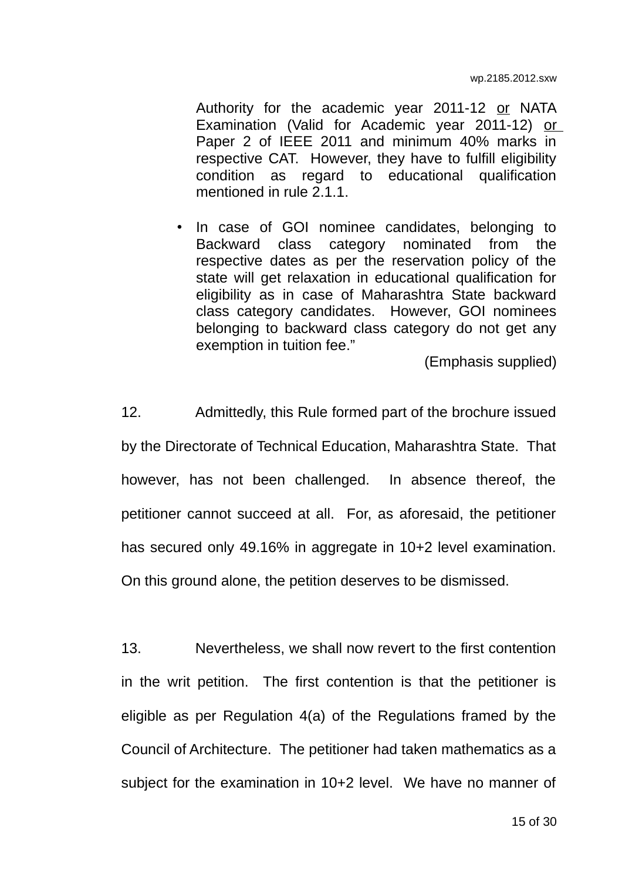Authority for the academic year 2011-12 or NATA Examination (Valid for Academic year 2011-12) or Paper 2 of IEEE 2011 and minimum 40% marks in respective CAT. However, they have to fulfill eligibility condition as regard to educational qualification mentioned in rule 2.1.1.

• In case of GOI nominee candidates, belonging to Backward class category nominated from the respective dates as per the reservation policy of the state will get relaxation in educational qualification for eligibility as in case of Maharashtra State backward class category candidates. However, GOI nominees belonging to backward class category do not get any exemption in tuition fee."

(Emphasis supplied)

12. Admittedly, this Rule formed part of the brochure issued by the Directorate of Technical Education, Maharashtra State. That however, has not been challenged. In absence thereof, the petitioner cannot succeed at all. For, as aforesaid, the petitioner has secured only 49.16% in aggregate in 10+2 level examination. On this ground alone, the petition deserves to be dismissed.

13. Nevertheless, we shall now revert to the first contention in the writ petition. The first contention is that the petitioner is eligible as per Regulation 4(a) of the Regulations framed by the Council of Architecture. The petitioner had taken mathematics as a subject for the examination in 10+2 level. We have no manner of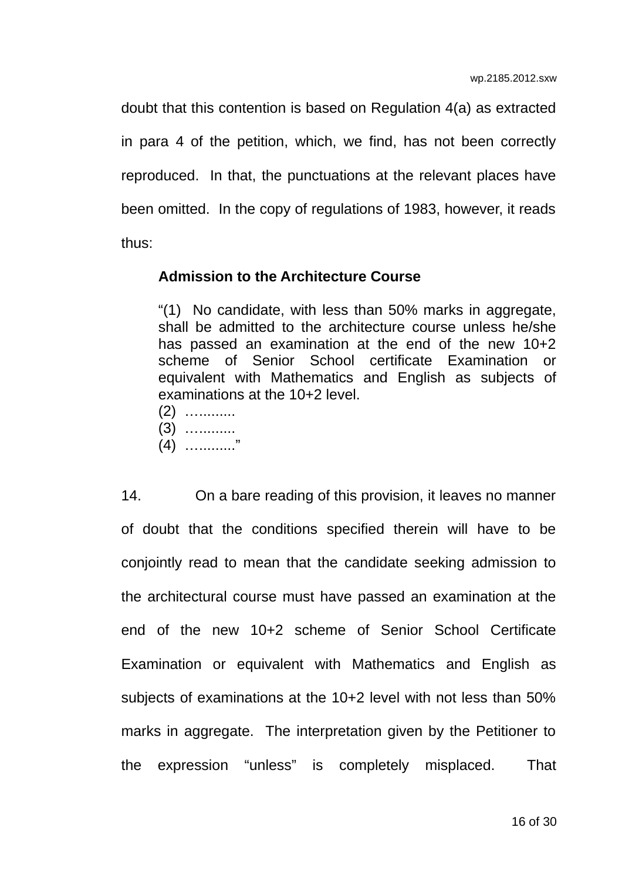doubt that this contention is based on Regulation 4(a) as extracted in para 4 of the petition, which, we find, has not been correctly reproduced. In that, the punctuations at the relevant places have been omitted. In the copy of regulations of 1983, however, it reads thus:

#### **Admission to the Architecture Course**

"(1) No candidate, with less than 50% marks in aggregate, shall be admitted to the architecture course unless he/she has passed an examination at the end of the new 10+2 scheme of Senior School certificate Examination or equivalent with Mathematics and English as subjects of examinations at the 10+2 level.

- (2) ….........
- (3) ….........
- $(4)$  …………"

14. On a bare reading of this provision, it leaves no manner of doubt that the conditions specified therein will have to be conjointly read to mean that the candidate seeking admission to the architectural course must have passed an examination at the end of the new 10+2 scheme of Senior School Certificate Examination or equivalent with Mathematics and English as subjects of examinations at the 10+2 level with not less than 50% marks in aggregate. The interpretation given by the Petitioner to the expression "unless" is completely misplaced. That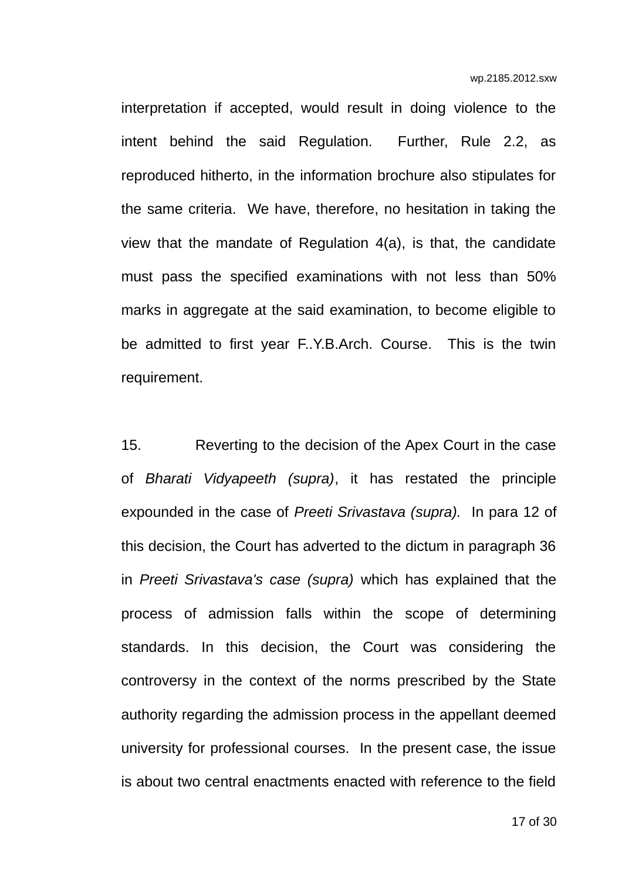interpretation if accepted, would result in doing violence to the intent behind the said Regulation. Further, Rule 2.2, as reproduced hitherto, in the information brochure also stipulates for the same criteria. We have, therefore, no hesitation in taking the view that the mandate of Regulation 4(a), is that, the candidate must pass the specified examinations with not less than 50% marks in aggregate at the said examination, to become eligible to be admitted to first year F..Y.B.Arch. Course. This is the twin requirement.

15. Reverting to the decision of the Apex Court in the case of *Bharati Vidyapeeth (supra)*, it has restated the principle expounded in the case of *Preeti Srivastava (supra).* In para 12 of this decision, the Court has adverted to the dictum in paragraph 36 in *Preeti Srivastava's case (supra)* which has explained that the process of admission falls within the scope of determining standards. In this decision, the Court was considering the controversy in the context of the norms prescribed by the State authority regarding the admission process in the appellant deemed university for professional courses. In the present case, the issue is about two central enactments enacted with reference to the field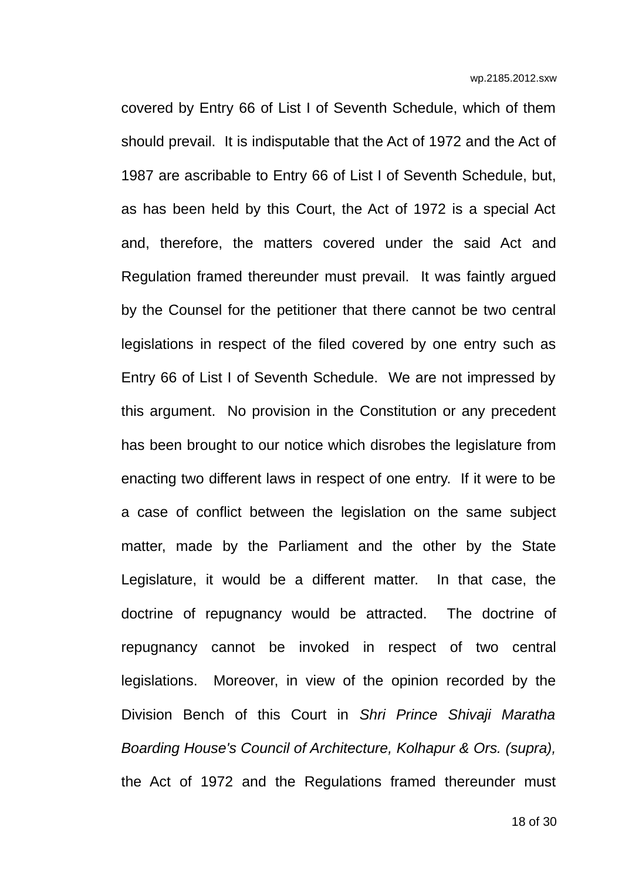covered by Entry 66 of List I of Seventh Schedule, which of them should prevail. It is indisputable that the Act of 1972 and the Act of 1987 are ascribable to Entry 66 of List I of Seventh Schedule, but, as has been held by this Court, the Act of 1972 is a special Act and, therefore, the matters covered under the said Act and Regulation framed thereunder must prevail. It was faintly argued by the Counsel for the petitioner that there cannot be two central legislations in respect of the filed covered by one entry such as Entry 66 of List I of Seventh Schedule. We are not impressed by this argument. No provision in the Constitution or any precedent has been brought to our notice which disrobes the legislature from enacting two different laws in respect of one entry. If it were to be a case of conflict between the legislation on the same subject matter, made by the Parliament and the other by the State Legislature, it would be a different matter. In that case, the doctrine of repugnancy would be attracted. The doctrine of repugnancy cannot be invoked in respect of two central legislations. Moreover, in view of the opinion recorded by the Division Bench of this Court in *Shri Prince Shivaji Maratha Boarding House's Council of Architecture, Kolhapur & Ors. (supra),* the Act of 1972 and the Regulations framed thereunder must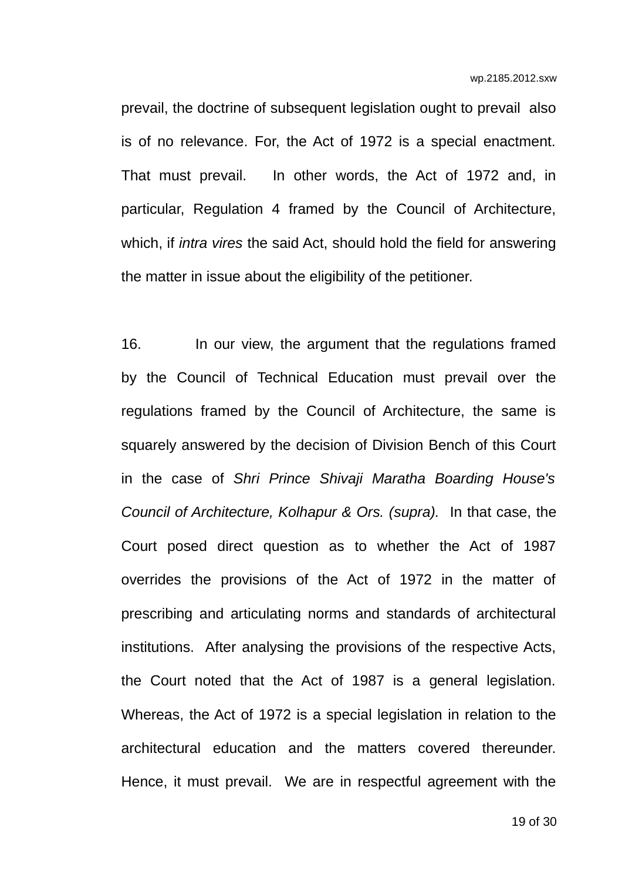prevail, the doctrine of subsequent legislation ought to prevail also is of no relevance. For, the Act of 1972 is a special enactment. That must prevail. In other words, the Act of 1972 and, in particular, Regulation 4 framed by the Council of Architecture, which, if *intra vires* the said Act, should hold the field for answering the matter in issue about the eligibility of the petitioner.

16. In our view, the argument that the regulations framed by the Council of Technical Education must prevail over the regulations framed by the Council of Architecture, the same is squarely answered by the decision of Division Bench of this Court in the case of *Shri Prince Shivaji Maratha Boarding House's Council of Architecture, Kolhapur & Ors. (supra).* In that case, the Court posed direct question as to whether the Act of 1987 overrides the provisions of the Act of 1972 in the matter of prescribing and articulating norms and standards of architectural institutions. After analysing the provisions of the respective Acts, the Court noted that the Act of 1987 is a general legislation. Whereas, the Act of 1972 is a special legislation in relation to the architectural education and the matters covered thereunder. Hence, it must prevail. We are in respectful agreement with the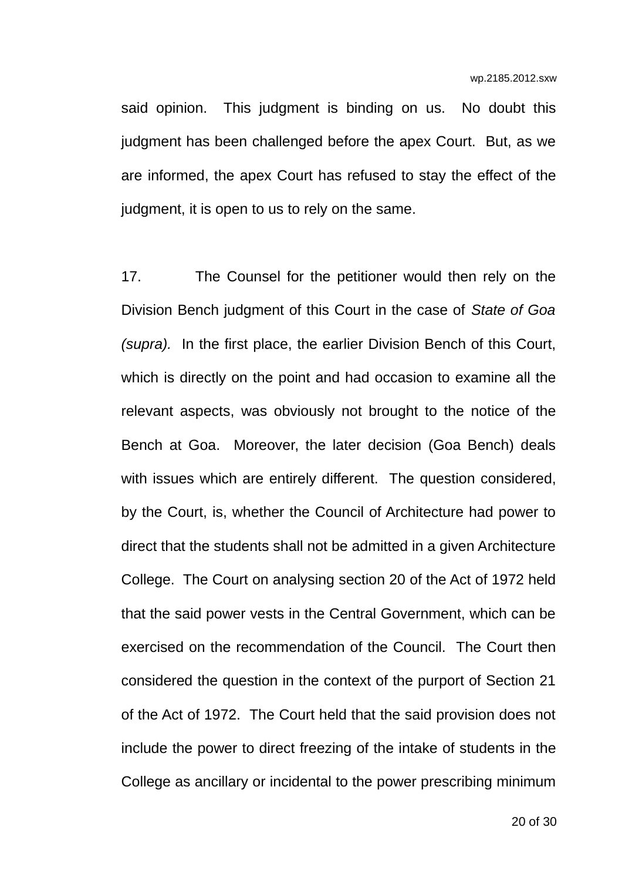said opinion. This judgment is binding on us. No doubt this judgment has been challenged before the apex Court. But, as we are informed, the apex Court has refused to stay the effect of the judgment, it is open to us to rely on the same.

17. The Counsel for the petitioner would then rely on the Division Bench judgment of this Court in the case of *State of Goa (supra).* In the first place, the earlier Division Bench of this Court, which is directly on the point and had occasion to examine all the relevant aspects, was obviously not brought to the notice of the Bench at Goa. Moreover, the later decision (Goa Bench) deals with issues which are entirely different. The question considered, by the Court, is, whether the Council of Architecture had power to direct that the students shall not be admitted in a given Architecture College. The Court on analysing section 20 of the Act of 1972 held that the said power vests in the Central Government, which can be exercised on the recommendation of the Council. The Court then considered the question in the context of the purport of Section 21 of the Act of 1972. The Court held that the said provision does not include the power to direct freezing of the intake of students in the College as ancillary or incidental to the power prescribing minimum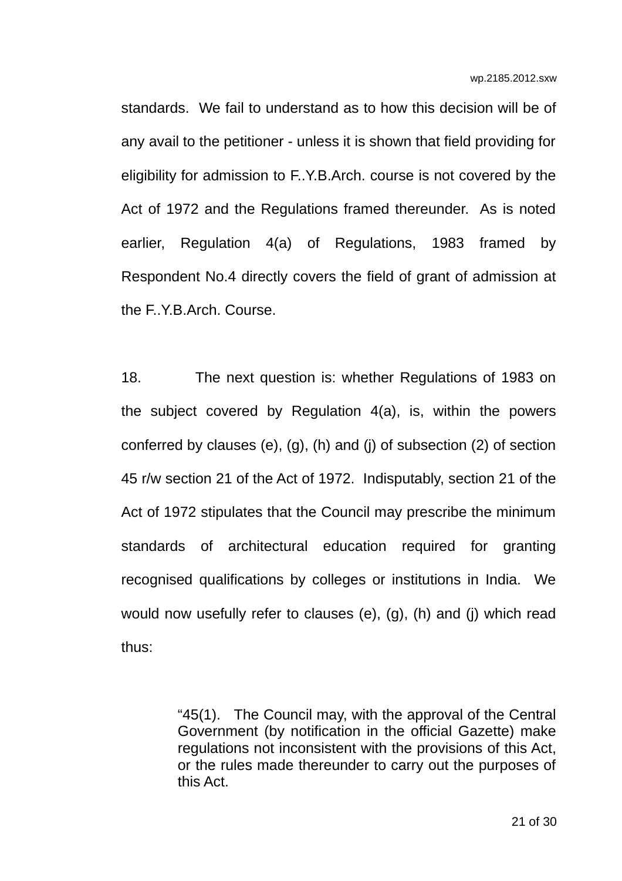standards. We fail to understand as to how this decision will be of any avail to the petitioner - unless it is shown that field providing for eligibility for admission to F..Y.B.Arch. course is not covered by the Act of 1972 and the Regulations framed thereunder. As is noted earlier, Regulation 4(a) of Regulations, 1983 framed by Respondent No.4 directly covers the field of grant of admission at the F..Y.B.Arch. Course.

18. The next question is: whether Regulations of 1983 on the subject covered by Regulation 4(a), is, within the powers conferred by clauses (e), (g), (h) and (j) of subsection (2) of section 45 r/w section 21 of the Act of 1972. Indisputably, section 21 of the Act of 1972 stipulates that the Council may prescribe the minimum standards of architectural education required for granting recognised qualifications by colleges or institutions in India. We would now usefully refer to clauses (e), (g), (h) and (j) which read thus:

> "45(1). The Council may, with the approval of the Central Government (by notification in the official Gazette) make regulations not inconsistent with the provisions of this Act, or the rules made thereunder to carry out the purposes of this Act.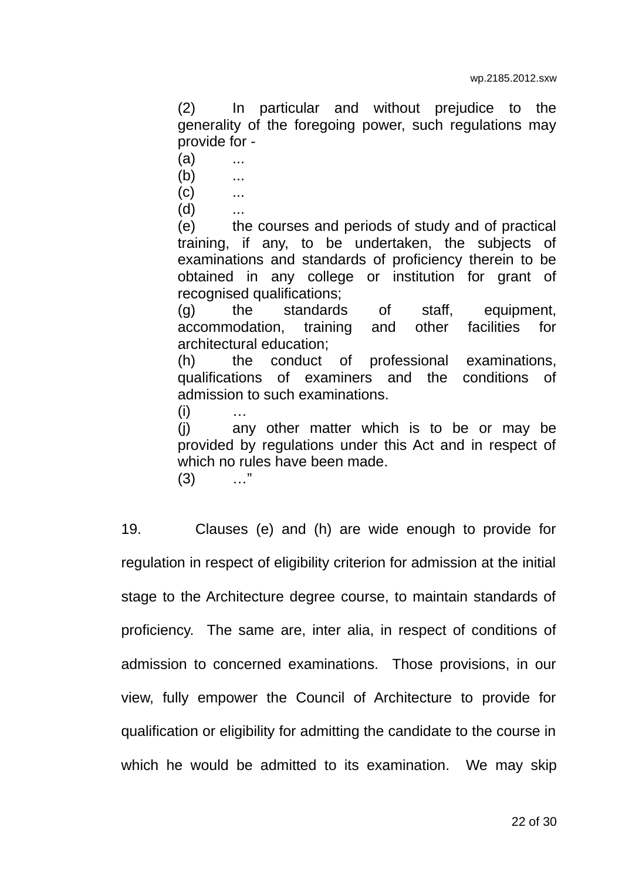(2) In particular and without prejudice to the generality of the foregoing power, such regulations may provide for -

- $(a)$  ...
- $(b)$  ...

 $(C)$  ...

 $(d)$ 

(e) the courses and periods of study and of practical training, if any, to be undertaken, the subjects of examinations and standards of proficiency therein to be obtained in any college or institution for grant of recognised qualifications;

(g) the standards of staff, equipment, accommodation, training and other facilities for architectural education;

(h) the conduct of professional examinations, qualifications of examiners and the conditions of admission to such examinations.

 $(i)$ 

(j) any other matter which is to be or may be provided by regulations under this Act and in respect of which no rules have been made.

(3) …"

19. Clauses (e) and (h) are wide enough to provide for regulation in respect of eligibility criterion for admission at the initial stage to the Architecture degree course, to maintain standards of proficiency. The same are, inter alia, in respect of conditions of admission to concerned examinations. Those provisions, in our view, fully empower the Council of Architecture to provide for qualification or eligibility for admitting the candidate to the course in which he would be admitted to its examination. We may skip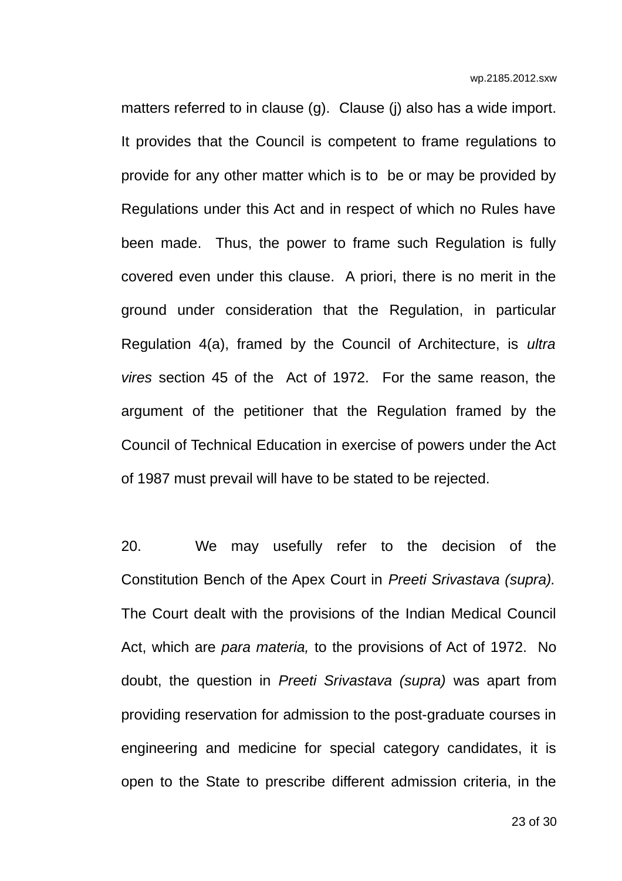matters referred to in clause (q). Clause (i) also has a wide import. It provides that the Council is competent to frame regulations to provide for any other matter which is to be or may be provided by Regulations under this Act and in respect of which no Rules have been made. Thus, the power to frame such Regulation is fully covered even under this clause. A priori, there is no merit in the ground under consideration that the Regulation, in particular Regulation 4(a), framed by the Council of Architecture, is *ultra vires* section 45 of the Act of 1972. For the same reason, the argument of the petitioner that the Regulation framed by the Council of Technical Education in exercise of powers under the Act of 1987 must prevail will have to be stated to be rejected.

20. We may usefully refer to the decision of the Constitution Bench of the Apex Court in *Preeti Srivastava (supra).* The Court dealt with the provisions of the Indian Medical Council Act, which are *para materia,* to the provisions of Act of 1972. No doubt, the question in *Preeti Srivastava (supra)* was apart from providing reservation for admission to the post-graduate courses in engineering and medicine for special category candidates, it is open to the State to prescribe different admission criteria, in the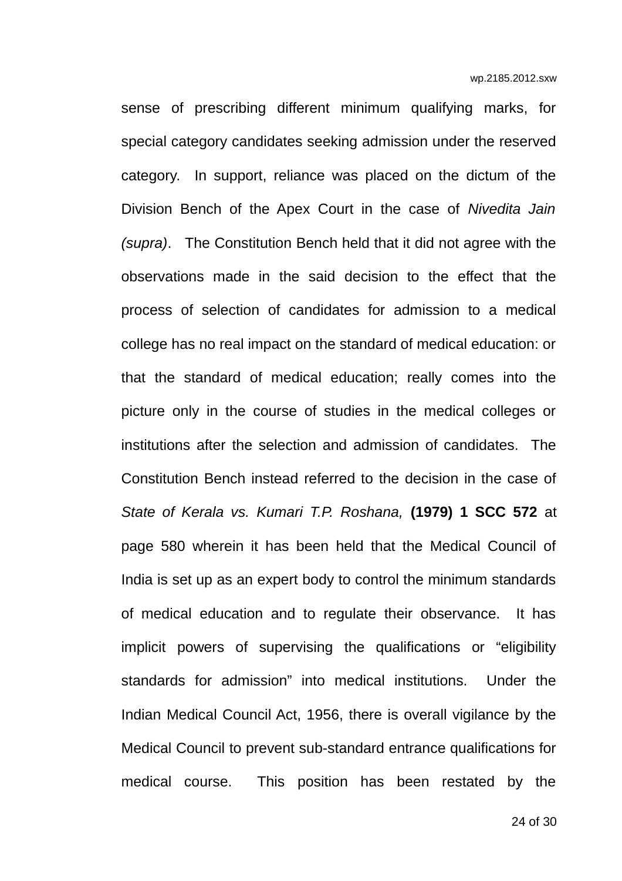sense of prescribing different minimum qualifying marks, for special category candidates seeking admission under the reserved category. In support, reliance was placed on the dictum of the Division Bench of the Apex Court in the case of *Nivedita Jain (supra)*. The Constitution Bench held that it did not agree with the observations made in the said decision to the effect that the process of selection of candidates for admission to a medical college has no real impact on the standard of medical education: or that the standard of medical education; really comes into the picture only in the course of studies in the medical colleges or institutions after the selection and admission of candidates. The Constitution Bench instead referred to the decision in the case of *State of Kerala vs. Kumari T.P. Roshana,* **(1979) 1 SCC 572** at page 580 wherein it has been held that the Medical Council of India is set up as an expert body to control the minimum standards of medical education and to regulate their observance. It has implicit powers of supervising the qualifications or "eligibility standards for admission" into medical institutions. Under the Indian Medical Council Act, 1956, there is overall vigilance by the Medical Council to prevent sub-standard entrance qualifications for medical course. This position has been restated by the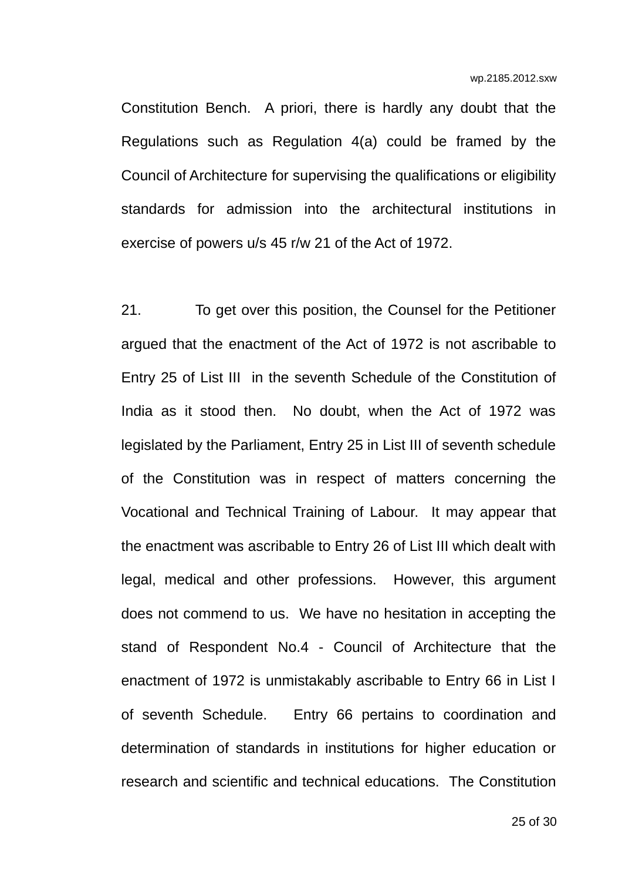Constitution Bench. A priori, there is hardly any doubt that the Regulations such as Regulation 4(a) could be framed by the Council of Architecture for supervising the qualifications or eligibility standards for admission into the architectural institutions in exercise of powers u/s 45 r/w 21 of the Act of 1972.

21. To get over this position, the Counsel for the Petitioner argued that the enactment of the Act of 1972 is not ascribable to Entry 25 of List III in the seventh Schedule of the Constitution of India as it stood then. No doubt, when the Act of 1972 was legislated by the Parliament, Entry 25 in List III of seventh schedule of the Constitution was in respect of matters concerning the Vocational and Technical Training of Labour. It may appear that the enactment was ascribable to Entry 26 of List III which dealt with legal, medical and other professions. However, this argument does not commend to us. We have no hesitation in accepting the stand of Respondent No.4 - Council of Architecture that the enactment of 1972 is unmistakably ascribable to Entry 66 in List I of seventh Schedule. Entry 66 pertains to coordination and determination of standards in institutions for higher education or research and scientific and technical educations. The Constitution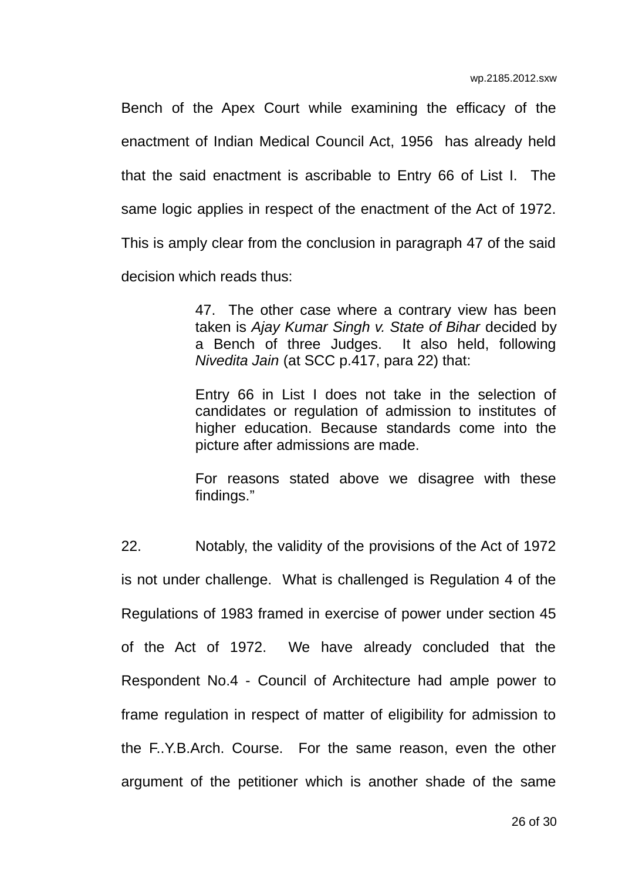Bench of the Apex Court while examining the efficacy of the enactment of Indian Medical Council Act, 1956 has already held that the said enactment is ascribable to Entry 66 of List I. The same logic applies in respect of the enactment of the Act of 1972. This is amply clear from the conclusion in paragraph 47 of the said decision which reads thus:

> 47. The other case where a contrary view has been taken is *Ajay Kumar Singh v. State of Bihar* decided by a Bench of three Judges. It also held, following *Nivedita Jain* (at SCC p.417, para 22) that:

> Entry 66 in List I does not take in the selection of candidates or regulation of admission to institutes of higher education. Because standards come into the picture after admissions are made.

> For reasons stated above we disagree with these findings."

22. Notably, the validity of the provisions of the Act of 1972 is not under challenge. What is challenged is Regulation 4 of the Regulations of 1983 framed in exercise of power under section 45 of the Act of 1972. We have already concluded that the Respondent No.4 - Council of Architecture had ample power to frame regulation in respect of matter of eligibility for admission to the F..Y.B.Arch. Course. For the same reason, even the other argument of the petitioner which is another shade of the same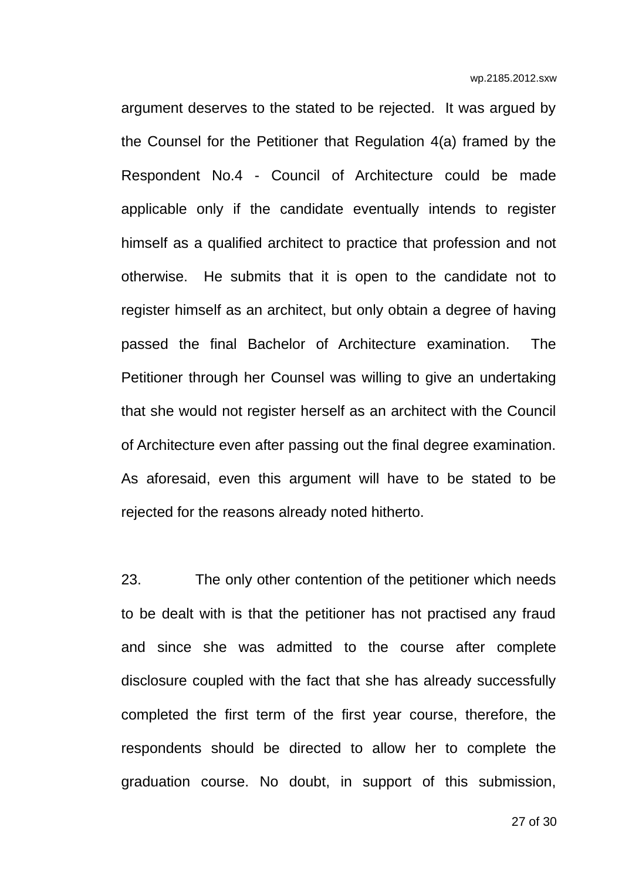argument deserves to the stated to be rejected. It was argued by the Counsel for the Petitioner that Regulation 4(a) framed by the Respondent No.4 - Council of Architecture could be made applicable only if the candidate eventually intends to register himself as a qualified architect to practice that profession and not otherwise. He submits that it is open to the candidate not to register himself as an architect, but only obtain a degree of having passed the final Bachelor of Architecture examination. The Petitioner through her Counsel was willing to give an undertaking that she would not register herself as an architect with the Council of Architecture even after passing out the final degree examination. As aforesaid, even this argument will have to be stated to be rejected for the reasons already noted hitherto.

23. The only other contention of the petitioner which needs to be dealt with is that the petitioner has not practised any fraud and since she was admitted to the course after complete disclosure coupled with the fact that she has already successfully completed the first term of the first year course, therefore, the respondents should be directed to allow her to complete the graduation course. No doubt, in support of this submission,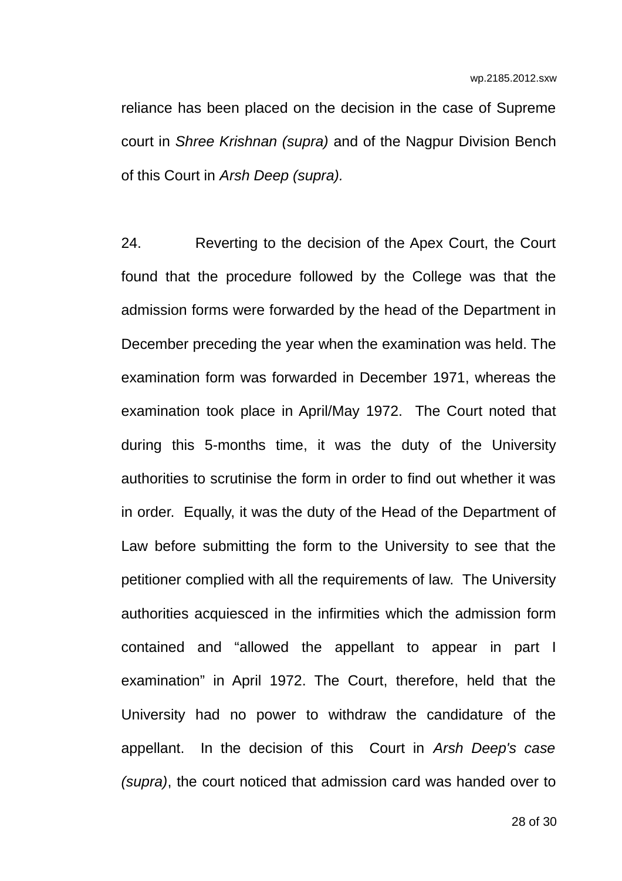reliance has been placed on the decision in the case of Supreme court in *Shree Krishnan (supra)* and of the Nagpur Division Bench of this Court in *Arsh Deep (supra).* 

24. Reverting to the decision of the Apex Court, the Court found that the procedure followed by the College was that the admission forms were forwarded by the head of the Department in December preceding the year when the examination was held. The examination form was forwarded in December 1971, whereas the examination took place in April/May 1972. The Court noted that during this 5-months time, it was the duty of the University authorities to scrutinise the form in order to find out whether it was in order. Equally, it was the duty of the Head of the Department of Law before submitting the form to the University to see that the petitioner complied with all the requirements of law. The University authorities acquiesced in the infirmities which the admission form contained and "allowed the appellant to appear in part I examination" in April 1972. The Court, therefore, held that the University had no power to withdraw the candidature of the appellant. In the decision of this Court in *Arsh Deep's case (supra)*, the court noticed that admission card was handed over to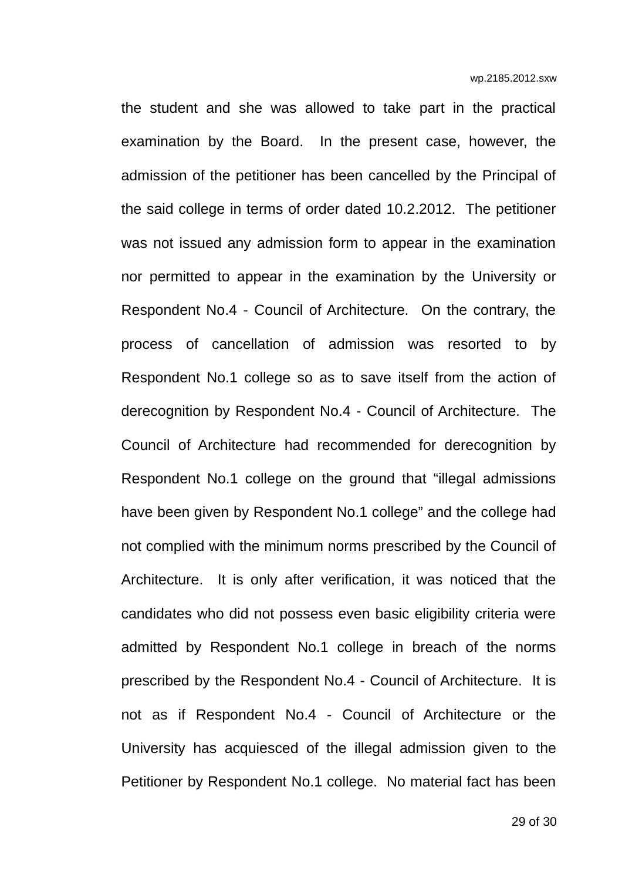the student and she was allowed to take part in the practical examination by the Board. In the present case, however, the admission of the petitioner has been cancelled by the Principal of the said college in terms of order dated 10.2.2012. The petitioner was not issued any admission form to appear in the examination nor permitted to appear in the examination by the University or Respondent No.4 - Council of Architecture. On the contrary, the process of cancellation of admission was resorted to by Respondent No.1 college so as to save itself from the action of derecognition by Respondent No.4 - Council of Architecture. The Council of Architecture had recommended for derecognition by Respondent No.1 college on the ground that "illegal admissions have been given by Respondent No.1 college" and the college had not complied with the minimum norms prescribed by the Council of Architecture. It is only after verification, it was noticed that the candidates who did not possess even basic eligibility criteria were admitted by Respondent No.1 college in breach of the norms prescribed by the Respondent No.4 - Council of Architecture. It is not as if Respondent No.4 - Council of Architecture or the University has acquiesced of the illegal admission given to the Petitioner by Respondent No.1 college. No material fact has been